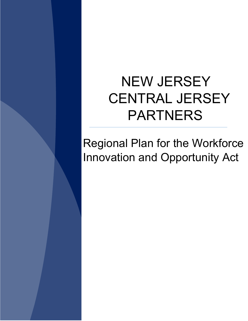# NEW JERSEY CENTRAL JERSEY PARTNERS

Regional Plan for the Workforce Innovation and Opportunity Act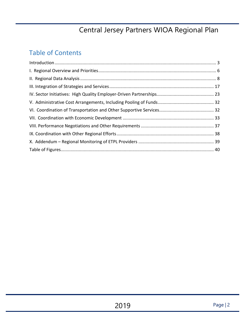### Table of Contents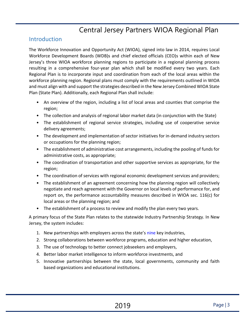### <span id="page-2-0"></span>**Introduction**

The Workforce Innovation and Opportunity Act (WIOA), signed into law in 2014, requires Local Workforce Development Boards (WDB)s and chief elected officials (CEO)s within each of New Jersey's three WIOA workforce planning regions to participate in a regional planning process resulting in a comprehensive four-year plan which shall be modified every two years. Each Regional Plan is to incorporate input and coordination from each of the local areas within the workforce planning region. Regional plans must comply with the requirements outlined in WIOA and must align with and support the strategies described in the New Jersey Combined WIOA State Plan (State Plan). Additionally, each Regional Plan shall include:

- An overview of the region, including a list of local areas and counties that comprise the region;
- The collection and analysis of regional labor market data (in conjunction with the State)
- The establishment of regional service strategies, including use of cooperative service delivery agreements;
- The development and implementation of sector initiatives for in-demand industry sectors or occupations for the planning region;
- The establishment of administrative cost arrangements, including the pooling of funds for administrative costs, as appropriate;
- The coordination of transportation and other supportive services as appropriate, for the region;
- The coordination of services with regional economic development services and providers;
- The establishment of an agreement concerning how the planning region will collectively negotiate and reach agreement with the Governor on local levels of performance for, and report on, the performance accountability measures described in WIOA sec. 116(c) for local areas or the planning region; and
- The establishment of a process to review and modify the plan every two years.

A primary focus of the State Plan relates to the statewide Industry Partnership Strategy. In New Jersey, the system includes:

- 1. New partnerships with employers across the state's nine key industries,
- 2. Strong collaborations between workforce programs, education and higher education,
- 3. The use of technology to better connect jobseekers and employers,
- 4. Better labor market intelligence to inform workforce investments, and
- 5. Innovative partnerships between the state, local governments, community and faith based organizations and educational institutions.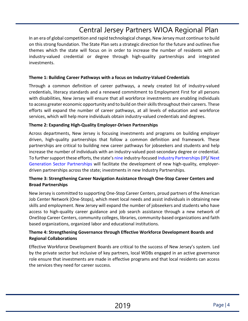In an era of global competition and rapid technological change, New Jersey must continue to build on this strong foundation. The State Plan sets a strategic direction for the future and outlines five themes which the state will focus on in order to increase the number of residents with an industry-valued credential or degree through high-quality partnerships and integrated investments.

### **Theme 1: Building Career Pathways with a focus on Industry-Valued Credentials**

Through a common definition of career pathways, a newly created list of industry-valued credentials, literacy standards and a renewed commitment to Employment First for all persons with disabilities, New Jersey will ensure that all workforce investments are enabling individuals to access greater economic opportunity and to build on their skills throughout their careers. These efforts will expand the number of career pathways, at all levels of education and workforce services, which will help more individuals obtain industry-valued credentials and degrees.

### **Theme 2: Expanding High-Quality Employer-Driven Partnerships**

Across departments, New Jersey is focusing investments and programs on building employer driven, high-quality partnerships that follow a common definition and framework. These partnerships are critical to building new career pathways for jobseekers and students and help increase the number of individuals with an industry-valued post-secondary degree or credential. To further support these efforts, the state's nine industry-focused Industry Partnerships(IP)/ Next Generation Sector Partnerships will facilitate the development of new high-quality, employerdriven partnerships across the state; investments in new Industry Partnerships.

### **Theme 3: Strengthening Career Navigation Assistance through One-Stop Career Centers and Broad Partnerships**

New Jersey is committed to supporting One-Stop Career Centers, proud partners of the American Job Center Network (One-Stops), which meet local needs and assist individuals in obtaining new skills and employment. New Jersey will expand the number of jobseekers and students who have access to high-quality career guidance and job search assistance through a new network of OneStop Career Centers, community colleges, libraries, community-based organizations and faith based organizations, organized labor and educational institutions.

### **Theme 4: Strengthening Governance through Effective Workforce Development Boards and Regional Collaborations**

Effective Workforce Development Boards are critical to the success of New Jersey's system. Led by the private sector but inclusive of key partners, local WDBs engaged in an active governance role ensure that investments are made in effective programs and that local residents can access the services they need for career success.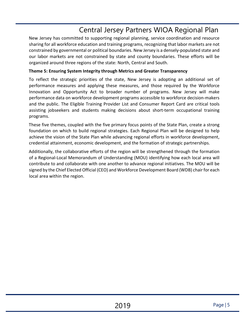New Jersey has committed to supporting regional planning, service coordination and resource sharing for all workforce education and training programs, recognizing that labor markets are not constrained by governmental or political boundaries. New Jersey is a densely-populated state and our labor markets are not constrained by state and county boundaries. These efforts will be organized around three regions of the state: North, Central and South.

#### **Theme 5: Ensuring System Integrity through Metrics and Greater Transparency**

To reflect the strategic priorities of the state, New Jersey is adopting an additional set of performance measures and applying these measures, and those required by the Workforce Innovation and Opportunity Act to broader number of programs. New Jersey will make performance data on workforce development programs accessible to workforce decision-makers and the public. The Eligible Training Provider List and Consumer Report Card are critical tools assisting jobseekers and students making decisions about short-term occupational training programs.

These five themes, coupled with the five primary focus points of the State Plan, create a strong foundation on which to build regional strategies. Each Regional Plan will be designed to help achieve the vision of the State Plan while advancing regional efforts in workforce development, credential attainment, economic development, and the formation of strategic partnerships.

Additionally, the collaborative efforts of the region will be strengthened through the formation of a Regional-Local Memorandum of Understanding (MOU) identifying how each local area will contribute to and collaborate with one another to advance regional initiatives. The MOU will be signed by the Chief Elected Official (CEO) and Workforce Development Board (WDB) chair for each local area within the region.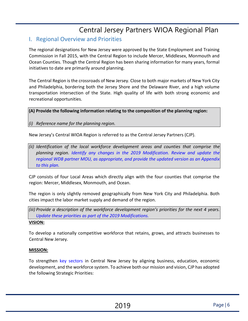### <span id="page-5-0"></span>I. Regional Overview and Priorities

The regional designations for New Jersey were approved by the State Employment and Training Commission in Fall 2015, with the Central Region to include Mercer, Middlesex, Monmouth and Ocean Counties. Though the Central Region has been sharing information for many years, formal initiatives to date are primarily around planning.

The Central Region is the crossroads of New Jersey. Close to both major markets of New York City and Philadelphia, bordering both the Jersey Shore and the Delaware River, and a high volume transportation intersection of the State. High quality of life with both strong economic and recreational opportunities.

#### **(A) Provide the following information relating to the composition of the planning region:**

#### *(i) Reference name for the planning region.*

New Jersey's Central WIOA Region is referred to as the Central Jersey Partners (CJP).

*(ii) Identification of the local workforce development areas and counties that comprise the planning region. Identify any changes in the 2019 Modification. Review and update the regional WDB partner MOU, as appropriate, and provide the updated version as an Appendix to this plan.*

CJP consists of four Local Areas which directly align with the four counties that comprise the region: Mercer, Middlesex, Monmouth, and Ocean.

The region is only slightly removed geographically from New York City and Philadelphia. Both cities impact the labor market supply and demand of the region.

*(iii) Provide a description of the workforce development region's priorities for the next 4 years. Update these priorities as part of the 2019 Modifications.*

#### **VISION:**

To develop a nationally competitive workforce that retains, grows, and attracts businesses to Central New Jersey.

#### **MISSION:**

To strengthen key sectors in Central New Jersey by aligning business, education, economic development, and the workforce system. To achieve both our mission and vision, CJP has adopted the following Strategic Priorities: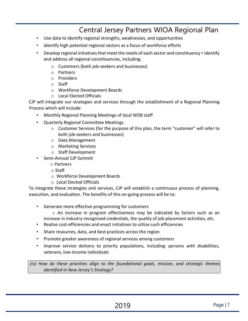- Use data to identify regional strengths, weaknesses, and opportunities
- Identify high potential regional sectors as a focus of workforce efforts
- Develop regional initiatives that meet the needs of each sector and constituency Identify and address all regional constituencies, including:
	- o Customers (both job-seekers and businesses)
	- o Partners
	- o Providers
	- o Staff
	- o Workforce Development Boards
	- o Local Elected Officials

CJP will integrate our strategies and services through the establishment of a Regional Planning Process which will include:

- Monthly Regional Planning Meetings of local WDB staff
- Quarterly Regional Committee Meetings
	- $\circ$  Customer Services (for the purpose of this plan, the term "customer" will refer to both job-seekers and businesses)
	- o Data Management
	- o Marketing Services
	- o Staff Development
- Semi-Annual CJP Summit
	- o Partners
	- o Staff
	- o Workforce Development Boards
	- o Local Elected Officials

To integrate these strategies and services, CJP will establish a continuous process of planning, execution, and evaluation. The benefits of this on-going process will be to:

- Generate more effective programming for customers
	- o An increase in program effectiveness may be indicated by factors such as an increase in industry-recognized credentials, the quality of job placement activities, etc.
- Realize cost-efficiencies and enact initiatives to utilize such efficiencies
- Share resources, data, and best practices across the region
- Promote greater awareness of regional services among customers
- Improve service delivery to priority populations, including: persons with disabilities, veterans, low-income individuals

*(iv) How do these priorities align to the foundational goals, mission, and strategic themes identified in New Jersey's Strategy?*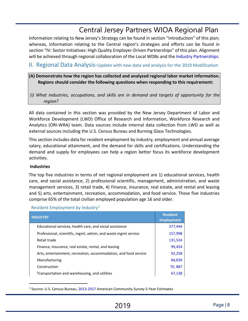Information relating to New Jersey's Strategy can be found in section "Introduction" of this plan; whereas, information relating to the Central region's strategies and efforts can be found in section "IV: Sector Initiatives: High Quality Employer-Driven Partnerships" of this plan. Alignment will be achieved through regional collaboration of the Local WDBs and the Industry Partnerships.

### <span id="page-7-0"></span>II. Regional Data Analysis-Update with new data and analysis for the 2019 Modification

### **(A) Demonstrate how the region has collected and analyzed regional labor market information. Regions should consider the following questions when responding to this requirement:**

*(i) What industries, occupations, and skills are in demand and targets of opportunity for the region?* 

All data contained in this section was provided by the New Jersey Department of Labor and Workforce Development (LWD) Office of Research and Information, Workforce Research and Analytics (ORI-WRA) team. Data sources include internal data collection from LWD as well as external sources including the U.S. Census Bureau and Burning Glass Technologies.

This section includes data for resident employment by industry, employment and annual average salary, educational attainment, and the demand for skills and certifications. Understanding the demand and supply for employees can help a region better focus its workforce development activities.

#### **Industries**

The top five industries in terms of net regional employment are 1) educational services, health care, and social assistance, 2) professional scientific, management, administration, and waste management services, 3) retail trade, 4) Finance, insurance, real estate, and rental and leasing and 5) arts, entertainment, recreation, accommodation, and food service. These five industries comprise 65% of the total civilian employed population age 16 and older.

| <b>INDUSTRY</b>                                                  | <b>Resident</b><br><b>Employment</b> |
|------------------------------------------------------------------|--------------------------------------|
| Educational services, health care, and social assistance         | 277,444                              |
| Professional, scientific, mgmt, admin, and waste mgmt service    | 157,998                              |
| Retail trade                                                     | 131,524                              |
| Finance, insurance, real estate, rental, and leasing             | 99,454                               |
| Arts, entertainment, recreation, accommodation, and food service | 92,258                               |
| Manufacturing                                                    | 84,839                               |
| Construction                                                     | 70,887                               |
| Transportation and warehousing, and utilities                    | 67,138                               |

#### Resident Employment by Industry<sup>1</sup>

<span id="page-7-1"></span> <sup>1</sup> Source: U.S. Census Bureau, 2013-2017 American Community Survey 5-Year Estimates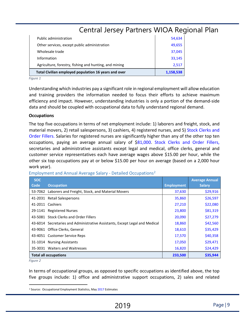| Total Civilian employed population 16 years and over   | 1,158,538 |  |
|--------------------------------------------------------|-----------|--|
| Agriculture, forestry, fishing and hunting, and mining | 2,517     |  |
| Information                                            | 33,145    |  |
| Wholesale trade                                        | 37,045    |  |
| Other services, except public administration           | 49,655    |  |
| Public administration                                  | 54,634    |  |
| Central Jersey Partners WIOA Regio                     |           |  |

*Figure 1* 

Understanding which industries pay a significant role in regional employment will allow education and training providers the information needed to focus their efforts to achieve maximum efficiency and impact. However, understanding industries is only a portion of the demand-side data and should be coupled with occupational data to fully understand regional demand.

#### **Occupations**

The top five occupations in terms of net employment include: 1) laborers and freight, stock, and material movers, 2) retail salespersons, 3) cashiers, 4) registered nurses, and 5) Stock Clerks and Order Fillers. Salaries for registered nurses are significantly higher than any of the other top ten occupations, paying an average annual salary of \$81,000. Stock Clerks and Order Fillers, secretaries and administrative assistants except legal and medical, office clerks, general and customer service representatives each have average wages above \$15.00 per hour, while the other six top occupations pay at or below \$15.00 per hour on average (based on a 2,000 hour work year).

| <b>SOC</b><br>Code | <b>Occupation</b>                                                           | <b>Employment</b> | <b>Average Annual</b><br><b>Salary</b> |
|--------------------|-----------------------------------------------------------------------------|-------------------|----------------------------------------|
|                    | 53-7062 Laborers and Freight, Stock, and Material Movers                    | 37,630            | \$29,916                               |
|                    | 41-2031 Retail Salespersons                                                 | 35,860            | \$26,597                               |
|                    | 41-2011 Cashiers                                                            | 27,210            | \$22,080                               |
|                    | 29-1141 Registered Nurses                                                   | 23,800            | \$81,319                               |
|                    | 43-5081 Stock Clerks and Order Fillers                                      | 20,090            | \$27,279                               |
|                    | 43-6014 Secretaries and Administrative Assistants, Except Legal and Medical | 18,860            | \$42,560                               |
|                    | 43-9061 Office Clerks, General                                              | 18,610            | \$35,429                               |
|                    | 43-4051 Customer Service Reps                                               | 17,570            | \$40,358                               |
|                    | 31-1014 Nursing Assistants                                                  | 17,050            | \$29,471                               |
|                    | 35-3031 Waiters and Waitresses                                              | 16,820            | \$24,429                               |
|                    | <b>Total all occupations</b>                                                | 233,500           | \$35,944                               |

Employment and Annual Average Salary - Detailed Occupations<sup>[2](#page-8-0)</sup>

*Figure 2* 

In terms of occupational groups, as opposed to specific occupations as identified above, the top five groups include: 1) office and administrative support occupations, 2) sales and related

<span id="page-8-0"></span><sup>&</sup>lt;sup>2</sup> Source: Occupational Employment Statistics, May 2017 Estimates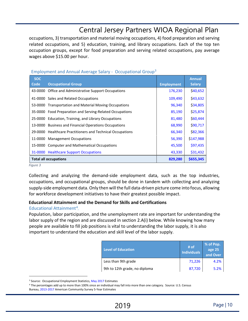occupations, 3) transportation and material moving occupations, 4) food preparation and serving related occupations, and 5) education, training, and library occupations. Each of the top ten occupation groups, except for food preparation and serving related occupations, pay average wages above \$15.00 per hour.

| <b>SOC</b> |                                                            |                   | <b>Annual</b> |
|------------|------------------------------------------------------------|-------------------|---------------|
| Code       | <b>Occupational Group</b>                                  | <b>Employment</b> | <b>Salary</b> |
| 43-0000    | Office and Administrative Support Occupations              | 176,230           | \$40,652      |
|            | 41-0000 Sales and Related Occupations                      | 109,490           | \$43,632      |
|            | 53-0000 Transportation and Material Moving Occupations     | 96,340            | \$34,805      |
|            | 35-0000 Food Preparation and Serving-Related Occupations   | 85,190            | \$25,874      |
|            | 25-0000 Education, Training, and Library Occupations       | 81,480            | \$60,444      |
|            | 13-0000 Business and Financial Operations Occupations      | 68,990            | \$90,717      |
|            | 29-0000 Healthcare Practitioners and Technical Occupations | 66,340            | \$82,366      |
| 11-0000    | <b>Management Occupations</b>                              | 56,390            | \$147,988     |
| 15-0000    | <b>Computer and Mathematical Occupations</b>               | 45,500            | \$97,435      |
|            | 31-0000 Healthcare Support Occupations                     | 43,330            | \$31,432      |
|            | <b>Total all occupations</b>                               | 829,280           | \$655,345     |

#### Employment and Annual Average Salary - Occupational Group<sup>[3](#page-9-0)</sup>

*Figure 3* 

Collecting and analyzing the demand-side employment data, such as the top industries, occupations, and occupational groups, should be done in tandem with collecting and analyzing supply-side employment data. Only then will the full data-driven picture come into focus, allowing for workforce development initiatives to have their greatest possible impact.

### **Educational Attainment and the Demand for Skills and Certifications**

### Educational Attainment<sup>[4](#page-9-1)</sup>,

Population, labor participation, and the unemployment rate are important for understanding the labor supply of the region and are discussed in section 2.A(i) below. While knowing how many people are available to fill job positions is vital to understanding the labor supply, it is also important to understand the education and skill level of the labor supply.

| <b>Level of Education</b>     | # of<br><b>Individuals</b> | % of Pop.<br>age 25<br>and Over |
|-------------------------------|----------------------------|---------------------------------|
| Less than 9th grade           | 71,226                     | 4.2%                            |
| 9th to 12th grade, no diploma | 87,720                     | 5.2%                            |

<span id="page-9-0"></span><sup>&</sup>lt;sup>3</sup> Source: Occupational Employment Statistics, May 2017 Estimates

<span id="page-9-1"></span><sup>4</sup> The percentages add up to more than 100% since an individual may fall into more than one category. Source: U.S. Census Bureau, 2013-2017 American Community Survey 5-Year Estimates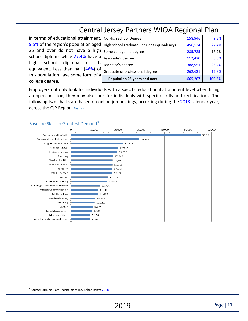In terms of educational attainment, 9.5% of the region's population aged 25 and over do not have a high school diploma while 27.4% have a high school diploma or its equivalent. Less than half (46%) of this population have some form of a college degree.

| Population 25 years and over                | 1,665,207 | 109.5% |
|---------------------------------------------|-----------|--------|
| Graduate or professional degree             | 262,631   | 15.8%  |
| Bachelor's degree                           | 388,951   | 23.4%  |
| Associate's degree                          | 112,420   | 6.8%   |
| Some college, no degree                     | 285,725   | 17.2%  |
| High school graduate (includes equivalency) | 456,534   | 27.4%  |
| No High School Degree                       | 158,946   | 9.5%   |
|                                             |           |        |

Employers not only look for individuals with a specific educational attainment level when filling an open position, they may also look for individuals with specific skills and certifications. The following two charts are based on online job postings, occurring during the 2018 calendar year, across the CJP Region. *Figure <sup>4</sup>*





<span id="page-10-0"></span> <sup>5</sup> Source: Burning Glass Technologies Inc., Labor Insight <sup>2018</sup>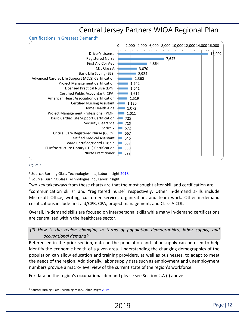Certifications in Greatest Demand[6](#page-11-0)



#### *Figure 1*

<sup>6</sup> Source: Burning Glass Technologies Inc., Labor Insight 2018

<sup>7</sup> Source: Burning Glass Technologies Inc., Labor Insight

Two key takeaways from these charts are that the most sought after skill and certification are "communication skills" and "registered nurse" respectively. Other in-demand skills include Microsoft Office, writing, customer service, organization, and team work. Other in-demand certifications include first aid/CPR, CPA, project management, and Class A CDL.

Overall, in-demand skills are focused on interpersonal skills while many in-demand certifications are centralized within the healthcare sector.

*(ii) How is the region changing in terms of population demographics, labor supply, and occupational demand?* 

Referenced in the prior section, data on the population and labor supply can be used to help identify the economic health of a given area. Understanding the changing demographics of the population can allow education and training providers, as well as businesses, to adapt to meet the needs of the region. Additionally, labor supply data such as employment and unemployment numbers provide a macro-level view of the current state of the region's workforce.

For data on the region's occupational demand please see Section 2.A (i) above.

<span id="page-11-0"></span> <sup>6</sup> Source: Burning Glass Technologies Inc., Labor Insight <sup>2019</sup>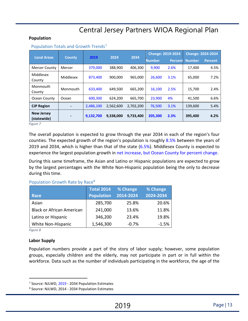#### **Population**

| <b>Local Areas</b>                                  | 2019<br>2034<br>2024<br><b>County</b> |           |               |                | <b>Change: 2019-2024</b> |                | <b>Change: 2024-2034</b> |      |
|-----------------------------------------------------|---------------------------------------|-----------|---------------|----------------|--------------------------|----------------|--------------------------|------|
|                                                     |                                       |           | <b>Number</b> | <b>Percent</b> | <b>Number</b>            | <b>Percent</b> |                          |      |
| <b>Mercer County</b>                                | Mercer                                | 379,000   | 388,900       | 406,300        | 9,900                    | 2.6%           | 17,400                   | 4.5% |
| Middlesex<br>County                                 | Middlesex                             | 873,400   | 900,000       | 965.000        | 26,600                   | 3.1%           | 65,000                   | 7.2% |
| Monmouth<br>County                                  | Monmouth                              | 633,400   | 649.500       | 665.200        | 16,100                   | 2.5%           | 15,700                   | 2.4% |
| Ocean County                                        | Ocean                                 | 600,300   | 624,200       | 665,700        | 23,900                   | 4%             | 41.500                   | 6.6% |
| <b>CJP Region</b>                                   |                                       | 2,486,100 | 2,562,600     | 2,702,200      | 76,500                   | 3.1%           | 139,600                  | 5.4% |
| <b>New Jersey</b><br>(statewide)<br>F <sub>in</sub> |                                       | 9,132,700 | 9,338,000     | 9,733,400      | 205,300                  | 2.3%           | 395,400                  | 4.2% |

#### Population Totals and Growth Trends<sup>[7](#page-12-0)</sup>

*Figure 7* 

The overall population is expected to grow through the year 2034 in each of the region's four counties. The expected growth of the region's population is roughly 8.5% between the years of 2019 and 2034, which is higher than that of the state  $(6.5%)$ . Middlesex County is expected to experience the largest population growth in net increase, but Ocean County for percent change.

During this same timeframe, the Asian and Latino or Hispanic populations are expected to grow by the largest percentages with the White Non-Hispanic population being the only to decrease during this time.

#### Population Growth Rate by Race[8](#page-12-1)

|                                  | <b>Total 2014</b> | % Change  | % Change  |
|----------------------------------|-------------------|-----------|-----------|
| Race                             | <b>Population</b> | 2014-2024 | 2024-2034 |
| Asian                            | 285,700           | 25.8%     | 20.6%     |
| <b>Black or African American</b> | 241,000           | 13.6%     | 11.8%     |
| Latino or Hispanic               | 346,200           | 23.4%     | 19.8%     |
| White Non-Hispanic               | 1,546,300         | $-0.7%$   | $-1.5%$   |

*Figure 8* 

#### **Labor Supply**

Population numbers provide a part of the story of labor supply; however, some population groups, especially children and the elderly, may not participate in part or in full within the workforce. Data such as the number of individuals participating in the workforce, the age of the

<span id="page-12-1"></span><span id="page-12-0"></span><sup>&</sup>lt;sup>7</sup> Source: NJLWD, 2019 - 2034 Population Estimates <sup>8</sup> Source: NJLWD, 2014 - 2034 Population Estimates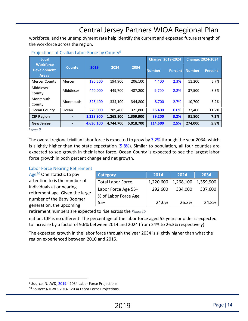workforce, and the unemployment rate help identify the current and expected future strength of the workforce across the region.

| Local                                                  |               |           |           |           |               | <b>Change: 2019-2024</b> |               | <b>Change: 2024-2034</b> |  |
|--------------------------------------------------------|---------------|-----------|-----------|-----------|---------------|--------------------------|---------------|--------------------------|--|
| <b>Workforce</b><br><b>Development</b><br><b>Areas</b> | <b>County</b> | 2019      | 2024      | 2034      | <b>Number</b> | <b>Percent</b>           | <b>Number</b> | <b>Percent</b>           |  |
| <b>Mercer County</b>                                   | Mercer        | 190,500   | 194.900   | 206,100   | 4,400         | 2.3%                     | 11,200        | 5.7%                     |  |
| Middlesex<br>County                                    | Middlesex     | 440.000   | 449,700   | 487,200   | 9,700         | 2.2%                     | 37,500        | 8.3%                     |  |
| Monmouth<br>County                                     | Monmouth      | 325,400   | 334.100   | 344,800   | 8,700         | 2.7%                     | 10.700        | 3.2%                     |  |
| Ocean County                                           | Ocean         | 273,000   | 289,400   | 321,800   | 16,400        | 6.0%                     | 32,400        | 11.2%                    |  |
| <b>CJP Region</b>                                      |               | 1,228,900 | 1,268,100 | 1,359,900 | 39,200        | 3.2%                     | 91,800        | 7.2%                     |  |
| <b>New Jersey</b>                                      |               | 4,630,100 | 4.744.700 | 5,018,700 | 114,600       | 2.5%                     | 274,000       | 5.8%                     |  |

#### Projections of Civilian Labor Force by County<sup>[9](#page-13-0)</sup>

*Figure 9* 

The overall regional civilian labor force is expected to grow by 7.2% through the year 2034, which is slightly higher than the state expectation  $(5.8%)$ . Similar to population, all four counties are expected to see growth in their labor force. Ocean County is expected to see the largest labor force growth in both percent change and net growth.

#### Labor Force Nearing Retirement

Age<sup>[10](#page-13-1)</sup> One statistic to pay attention to is the number of individuals at or nearing retirement age. Given the large number of the Baby Boomer generation, the upcoming

| <b>Category</b>          | 2014      | 2024      | 2034      |
|--------------------------|-----------|-----------|-----------|
| <b>Total Labor Force</b> | 1,220,600 | 1,268,100 | 1,359,900 |
| Labor Force Age 55+      | 292,600   | 334,000   | 337,600   |
| % of Labor Force Age     |           |           |           |
| $55+$                    | 24.0%     | 26.3%     | 24.8%     |

retirement numbers are expected to rise across the *Figure 10* 

nation. CJP is no different. The percentage of the labor force aged 55 years or older is expected to increase by a factor of 9.6% between 2014 and 2024 (from 24% to 26.3% respectively).

The expected growth in the labor force through the year 2034 is slightly higher than what the region experienced between 2010 and 2015.

<span id="page-13-1"></span><span id="page-13-0"></span><sup>&</sup>lt;sup>9</sup> Source: NJLWD, 2019 - 2034 Labor Force Projections<br><sup>10</sup> Source: NJLWD, 2014 - 2034 Labor Force Projections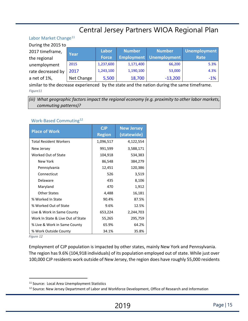#### Labor Market Change<sup>[11](#page-14-0)</sup>  $\overline{a}$

| During the 2015 to |            |              |               |                                |                     |  |  |  |  |
|--------------------|------------|--------------|---------------|--------------------------------|---------------------|--|--|--|--|
| 2017 timeframe,    | Year       | Labor        | <b>Number</b> | <b>Number</b>                  | <b>Unemployment</b> |  |  |  |  |
| the regional       |            | <b>Force</b> |               | <b>Employment Unemployment</b> | Rate                |  |  |  |  |
| unemployment       | 2015       | 1,237,600    | 1,171,400     | 66,200                         | 5.3%                |  |  |  |  |
| rate decreased by  | 2017       | 1,243,100    | 1,190,100     | 53,000                         | 4.3%                |  |  |  |  |
| a net of 1%,       | Net Change | 5,500        | 18,700        | $-13,200$                      | $-1\%$              |  |  |  |  |

similar to the decrease experienced by the state and the nation during the same timeframe. *Figure11* 

*(iii) What geographic factors impact the regional economy (e.g. proximity to other labor markets, commuting patterns)?* 

#### Work-Based Commuting[12](#page-14-1)

| <b>Place of Work</b>              | CJP           | <b>New Jersey</b> |
|-----------------------------------|---------------|-------------------|
|                                   | <b>Region</b> | (statewide)       |
| <b>Total Resident Workers</b>     | 1,096,517     | 4,122,554         |
| New Jersey                        | 991,599       | 3,588,171         |
| Worked Out of State               | 104,918       | 534,383           |
| New York                          | 86,548        | 384,279           |
| Pennsylvania                      | 12,451        | 120,386           |
| Connecticut                       | 526           | 3,519             |
| Delaware                          | 435           | 8,106             |
| Maryland                          | 470           | 1,912             |
| <b>Other States</b>               | 4,488         | 16,181            |
| % Worked In State                 | 90.4%         | 87.5%             |
| % Worked Out of State             | 9.6%          | 12.5%             |
| Live & Work in Same County        | 653,224       | 2,244,703         |
| Work In State & Live Out of State | 55,265        | 295,759           |
| % Live & Work in Same County      | 65.9%         | 64.2%             |
| % Work Outside County             | 34.1%         | 35.8%             |

*Figure 12* 

Employment of CJP population is impacted by other states, mainly New York and Pennsylvania. The region has 9.6% (104,918 individuals) of its population employed out of state. While just over 100,000 CJP residents work outside of New Jersey, the region does have roughly 55,000 residents

<span id="page-14-1"></span><span id="page-14-0"></span><sup>&</sup>lt;sup>11</sup> Source: Local Area Unemployment Statistics<br><sup>12</sup> Source: New Jersey Department of Labor and Workforce Development, Office of Research and Information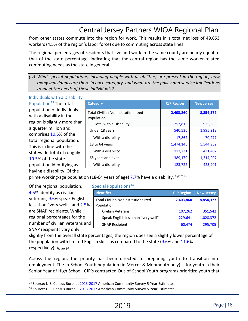from other states commute into the region for work. This results in a total net loss of 49,653 workers (4.5% of the region's labor force) due to commuting across state lines.

The regional percentages of residents that live and work in the same county are nearly equal to that of the state percentage, indicating that the central region has the same worker-related commuting needs as the state in general.

*(iv) What special populations, including people with disabilities, are present in the region, how many individuals are there in each category, and what are the policy and service implications to meet the needs of these individuals?* 

Individuals with a Disability Population $13$  The total population of individuals with a disability in the region is slightly more than a quarter million and comprises 10.6% of the total regional population. This is in line with the statewide total of roughly 10.5% of the state population identifying as having a disability. Of the

| <b>Category</b>                                          | <b>CJP Region</b> | <b>New Jersey</b> |
|----------------------------------------------------------|-------------------|-------------------|
| <b>Total Civilian Noninstitutionalized</b><br>Population | 2,403,860         | 8,854,377         |
| Total with a Disability                                  | 253,815           | 925,580           |
| Under 18 years                                           | 540,536           | 1,995,218         |
| With a disability                                        | 17,862            | 70,277            |
| 18 to 64 years                                           | 1,474,145         | 5,544,952         |
| With a disability                                        | 112,231           | 431,402           |
| 65 years and over                                        | 389,179           | 1,314,207         |
| With a disability                                        | 123,722           | 423,901           |

prime working-age population (18-64 years of age) 7.7% have a disability. *Figure 13*

Of the regional population, Special Populations $14$ 4.5% identify as civilian veterans, 9.6% speak English less than "very well", and 2.5% are SNAP recipients. While regional percentages for the number of civilian veterans and SNAP recipients vary only

| <b>Identifier</b>                                        | <b>CJP Region</b> | <b>New Jersey</b> |
|----------------------------------------------------------|-------------------|-------------------|
| <b>Total Civilian Noninstitutionalized</b><br>Population | 2,403,860         | 8,854,377         |
| Civilian Veterans                                        | 107,262           | 351,542           |
| Speak English less than "very well"                      | 229,641           | 1,028,372         |
| <b>SNAP Recipient</b>                                    | 60,474            | 295,705           |

slightly from the overall state percentages, the region does see a slightly lower percentage of the population with limited English skills as compared to the state (9.6% and 11.6% respectively). *Figure 14*

Across the region, the priority has been directed to preparing youth to transition into employment. The In-School Youth population (in Mercer & Monmouth only) is for youth in their Senior Year of High School. CJP's contracted Out-of-School Youth programs prioritize youth that

<span id="page-15-1"></span><span id="page-15-0"></span><sup>&</sup>lt;sup>13</sup> Source: U.S. Census Bureau, 2013-2017 American Community Survey 5-Year Estimates<br><sup>14</sup> Source: U.S. Census Bureau, 2013-2017 American Community Survey 5-Year Estimates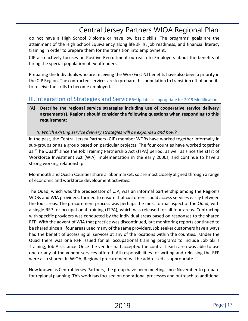do not have a High School Diploma or have low basic skills. The programs' goals are the attainment of the High School Equivalency along life skills, job readiness, and financial literacy training in order to prepare them for the transition into employment.

CJP also actively focuses on Positive Recruitment outreach to Employers about the benefits of hiring the special population of ex-offenders.

Preparing the Individuals who are receiving the WorkFirst NJ benefits have also been a priority in the CJP Region. The contracted services are to prepare this population to transition off of benefits to receive the skills to become employed.

### <span id="page-16-0"></span>III. Integration of Strategies and Services-Update as appropriate for 2019 Modification

**(A) Describe the regional service strategies including use of cooperative service delivery agreement(s). Regions should consider the following questions when responding to this requirement:** 

*(i) Which existing service delivery strategies will be expanded and how?* 

In the past, the Central Jersey Partners (CJP) member WDBs have worked together informally in sub-groups or as a group based on particular projects. The four counties have worked together as "The Quad" since the Job Training Partnership Act (JTPA) period, as well as since the start of Workforce Investment Act (WIA) implementation in the early 2000s, and continue to have a strong working relationship.

Monmouth and Ocean Counties share a labor market, so are most closely aligned through a range of economic and workforce development activities.

The Quad, which was the predecessor of CJP, was an informal partnership among the Region's WDBs and WIA providers, formed to ensure that customers could access services easily between the four areas. The procurement process was perhaps the most formal aspect of the Quad, with a single RFP for occupational training (JTPA), which was released for all four areas. Contracting with specific providers was conducted by the individual areas based on responses to the shared RFP. With the advent of WIA that practice was discontinued, but monitoring reports continued to be shared since all four areas used many of the same providers. Job seeker customers have always had the benefit of accessing all services at any of the locations within the counties. Under the Quad there was one RFP issued for all occupational training programs to include Job Skills Training, Job Assistance. Once the vendor had accepted the contract each area was able to use one or any of the vendor services offered. All responsibilities for writing and releasing the RFP were also shared. In WIOA, Regional procurement will be addressed as appropriate. "

Now known as Central Jersey Partners, the group have been meeting since November to prepare for regional planning. This work has focused on operational processes and outreach to additional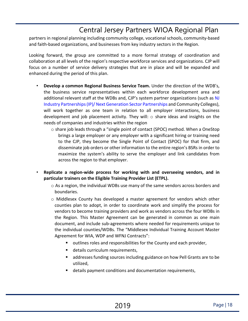partners in regional planning including community college, vocational schools, community-based and faith-based organizations, and businesses from key industry sectors in the Region.

Looking forward, the group are committed to a more formal strategy of coordination and collaboration at all levels of the region's respective workforce services and organizations. CJP will focus on a number of service delivery strategies that are in place and will be expanded and enhanced during the period of this plan.

- **Develop a common Regional Business Service Team.** Under the direction of the WDB's, the business service representatives within each workforce development area and additional relevant staff at the WDBs and, CJP's system partner organizations (such as NJ Industry Partnerships(IP)/ Next Generation Sector Partnerships and Community Colleges), will work together as one team in relation to all employer interactions, business development and job placement activity. They will:  $\circ$  share ideas and insights on the needs of companies and industries within the region
	- o share job leads through a "single point of contact (SPOC) method. When a OneStop brings a large employer or any employer with a significant hiring or training need to the CJP, they become the Single Point of Contact (SPOC) for that firm, and disseminate job orders or other information to the entire region's BSRs in order to maximize the system's ability to serve the employer and link candidates from across the region to that employer.
- **Replicate a region-wide process for working with and overseeing vendors, and in particular trainers on the Eligible Training Provider List (ETPL).** 
	- $\circ$  As a region, the individual WDBs use many of the same vendors across borders and boundaries.
	- o Middlesex County has developed a master agreement for vendors which other counties plan to adopt, in order to coordinate work and simplify the process for vendors to become training providers and work as vendors across the four WDBs in the Region. This Master Agreement can be generated in common as one main document, and include sub-agreements where needed for requirements unique to the individual counties/WDBs. The "Middlesex Individual Training Account Master Agreement for WIA, WDP and WFNJ Contracts":
		- outlines roles and responsibilities for the County and each provider,
		- details curriculum requirements,
		- addresses funding sources including guidance on how Pell Grants are to be utilized,
		- details payment conditions and documentation requirements,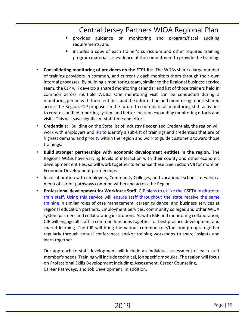- provides guidance on monitoring and program/fiscal auditing requirements, and
- includes a copy of each trainer's curriculum and other required training program materials as evidence of the commitment to provide the training.
- **Consolidating monitoring of providers on the ETPL list**. The WDBs share a large number of training providers in common, and currently each monitors them through their own internal processes. By building a monitoring team, similar to the Regional business service team, the CJP will develop a shared monitoring calendar and list of those trainers held in common across multiple WDBs. One monitoring visit can be conducted during a monitoring period with these entities, and the information and monitoring report shared across the Region. CJP proposes in the future to coordinate all monitoring staff activities to create a unified reporting system and better focus on expanding monitoring efforts and visits. This will save significant staff time and effort.
- **Credentials:** Building on the State list of Industry Recognized Credentials, the region will work with employers and IPs to identify a sub-list of trainings and credentials that are of highest demand and priority within the region and work to guide customers toward those trainings.
- **Build stronger partnerships with economic development entities in the region**. The Region's WDBs have varying levels of interaction with their county and other economic development entities, so will work together to enhance these. See Section VII for more on Economic Development partnerships
- In collaboration with employers, Community Colleges, and vocational schools, develop a menu of career pathways common within and across the Region.
- **Professional development for Workforce Staff**. CJP plans to utilize the GSETA Institute to train staff. Using this service will ensure staff throughout the state receive the same training in similar roles of case management, career guidance, and business services at regional education partners, Employment Services, community colleges and other WIOA system partners and collaborating institutions. As with BSR and monitoring collaboration, CJP will engage all staff in common functions together for best practice development and shared learning. The CJP will bring the various common role/function groups together regularly through annual conferences and/or training workshops to share insights and learn together.

Our approach to staff development will include an individual assessment of each staff member's needs. Training will include technical, job specific modules. The region will focus on Professional Skills Development including: Assessment, Career Counseling, Career Pathways, and Job Development. In addition,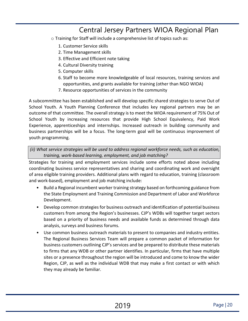- o Training for Staff will include a comprehensive list of topics such as:
	- 1. Customer Service skills
	- 2. Time Management skills
	- 3. Effective and Efficient note taking
	- 4. Cultural Diversity training
	- 5. Computer skills
	- 6. Staff to become more knowledgeable of local resources, training services and opportunities, and grants available for training (other than NGO WIOA)
	- 7. Resource opportunities of services in the community

A subcommittee has been established and will develop specific shared strategies to serve Out of School Youth. A Youth Planning Conference that includes key regional partners may be an outcome of that committee. The overall strategy is to meet the WIOA requirement of 75% Out of School Youth by increasing resources that provide High School Equivalency, Paid Work Experience, apprenticeships and internships. Increased outreach in building community and business partnerships will be a focus. The long-term goal will be continuous improvement of youth programming.

*(ii) What service strategies will be used to address regional workforce needs, such as education, training, work-based learning, employment, and job matching?* 

Strategies for training and employment services include some efforts noted above including coordinating business service representatives and sharing and coordinating work and oversight of area eligible training providers. Additional plans with regard to education, training (classroom and work-based), employment and job matching include:

- Build a Regional incumbent worker training strategy based on forthcoming guidance from the State Employment and Training Commission and Department of Labor and Workforce Development.
- Develop common strategies for business outreach and identification of potential business customers from among the Region's businesses. CJP's WDBs will together target sectors based on a priority of business needs and available funds as determined through data analysis, surveys and business forums.
- Use common business outreach materials to present to companies and industry entities. The Regional Business Services Team will prepare a common packet of information for business customers outlining CJP's services and be prepared to distribute these materials to firms that any WDB or other partner identifies. In particular, firms that have multiple sites or a presence throughout the region will be introduced and come to know the wider Region, CJP, as well as the individual WDB that may make a first contact or with which they may already be familiar.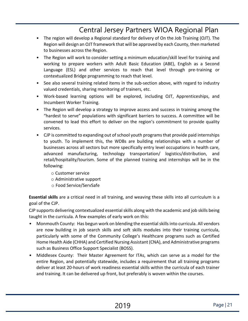- The region will develop a Regional standard for delivery of On the Job Training (OJT). The Region will design an OJT framework that will be approved by each County, then marketed to businesses across the Region.
- The Region will work to consider setting a minimum education/skill level for training and working to prepare workers with Adult Basic Education (ABE), English as a Second Language (ESL) and other services to reach that level through pre-training or contextualized Bridge programming to reach that level.
- See also several training related items in the sub-section above, with regard to industry valued credentials, sharing monitoring of trainers, etc.
- Work-based learning options will be explored, including OJT, Apprenticeships, and Incumbent Worker Training.
- The Region will develop a strategy to improve access and success in training among the "hardest to serve" populations with significant barriers to success. A committee will be convened to lead this effort to deliver on the region's commitment to provide quality services.
- CJP is committed to expanding out of school youth programs that provide paid internships to youth. To implement this, the WDBs are building relationships with a number of businesses across all sectors but more specifically entry level occupations in health care, advanced manufacturing, technology transportation/ logistics/distribution, and retail/hospitality/tourism. Some of the planned training and internships will be in the following:
	- o Customer service
	- o Administrative support
	- o Food Service/ServSafe

**Essential skills** are a critical need in all training, and weaving these skills into all curriculum is a goal of the CJP.

CJP supports delivering contextualized essential skills along with the academic and job skills being taught in the curricula. A few examples of early work on this:

- Monmouth County: Has begun work on blending the essential skills into curricula. All vendors are now building in job search skills and soft skills modules into their training curricula, particularly with some of the Community College's Healthcare programs such as Certified Home Health Aide (CHHA) and Certified Nursing Assistant (CNA), and Administrative programs such as Business Office Support Specialist (BOSS).
- Middlesex County: Their Master Agreement for ITAs, which can serve as a model for the entire Region, and potentially statewide, includes a requirement that all training programs deliver at least 20-hours of work readiness essential skills within the curricula of each trainer and training. It can be delivered up front, but preferably is woven within the courses.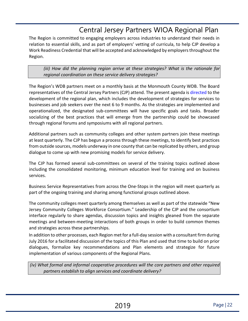The Region is committed to engaging employers across industries to understand their needs in relation to essential skills, and as part of employers' vetting of curricula, to help CJP develop a Work Readiness Credential that will be accepted and acknowledged by employers throughout the Region.

*(iii) How did the planning region arrive at these strategies? What is the rationale for regional coordination on these service delivery strategies?* 

The Region's WDB partners meet on a monthly basis at the Monmouth County WDB. The Board representatives of the Central Jersey Partners (CJP) attend. The present agenda is directed to the development of the regional plan, which includes the development of strategies for services to businesses and job seekers over the next 6 to 9 months. As the strategies are implemented and operationalized, the designated sub-committees will have specific goals and tasks. Broader socializing of the best practices that will emerge from the partnership could be showcased through regional forums and symposiums with all regional partners.

Additional partners such as community colleges and other system partners join these meetings at least quarterly. The CJP has begun a process through these meetings, to identify best practices from outside sources, models underway in one county that can be replicated by others, and group dialogue to come up with new promising models for service delivery.

The CJP has formed several sub-committees on several of the training topics outlined above including the consolidated monitoring, minimum education level for training and on business services.

Business Service Representatives from across the One-Stops in the region will meet quarterly as part of the ongoing training and sharing among functional groups outlined above.

The community colleges meet quarterly among themselves as well as part of the statewide "New Jersey Community Colleges Workforce Consortium." Leadership of the CJP and the consortium interface regularly to share agendas, discussion topics and insights gleaned from the separate meetings and between-meeting interactions of both groups in order to build common themes and strategies across these partnerships.

In addition to other processes, each Region met for a full-day session with a consultant firm during July 2016 for a facilitated discussion of the topics of this Plan and used that time to build on prior dialogues, formalize key recommendations and Plan elements and strategize for future implementation of various components of the Regional Plans.

*(iv) What formal and informal cooperative procedures will the core partners and other required partners establish to align services and coordinate delivery?*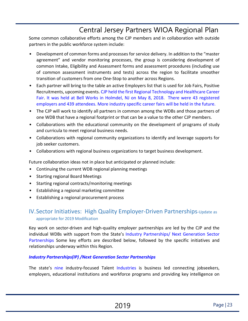Some common collaborative efforts among the CJP members and in collaboration with outside partners in the public workforce system include:

- Development of common forms and processes for service delivery. In addition to the "master agreement" and vendor monitoring processes, the group is considering development of common Intake, Eligibility and Assessment forms and assessment procedures (including use of common assessment instruments and tests) across the region to facilitate smoother transition of customers from one One-Stop to another across Regions.
- Each partner will bring to the table an active Employers list that is used for Job Fairs, Positive Recruitments, upcoming events. CJP held the first Regional Technology and Healthcare Career Fair. It was held at Bell Works in Holmdel, NJ on May 8, 2018. There were 43 registered employers and 439 attendees. More industry specific career fairs will be held in the future.
- The CJP will work to identify all partners in common among the WDBs and those partners of one WDB that have a regional footprint or that can be a value to the other CJP members.
- Collaborations with the educational community on the development of programs of study and curricula to meet regional business needs.
- Collaborations with regional community organizations to identify and leverage supports for job seeker customers.
- Collaborations with regional business organizations to target business development.

Future collaboration ideas not in place but anticipated or planned include:

- Continuing the current WDB regional planning meetings
- Starting regional Board Meetings
- Starting regional contracts/monitoring meetings
- Establishing a regional marketing committee
- Establishing a regional procurement process

### <span id="page-22-0"></span>IV. Sector Initiatives: High Quality Employer-Driven Partnerships-Update as appropriate for 2019 Modification

Key work on sector-driven and high-quality employer partnerships are led by the CJP and the individual WDBs with support from the State's Industry Partnerships/ Next Generation Sector Partnerships Some key efforts are described below, followed by the specific initiatives and relationships underway within this Region.

### *Industry Partnerships(IP) /Next Generation Sector Partnerships*

The state's nine industry-focused Talent Industries is business led connecting jobseekers, employers, educational institutions and workforce programs and providing key intelligence on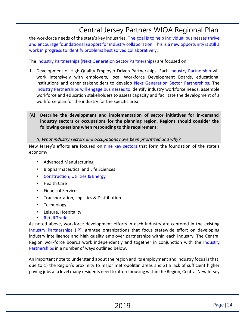the workforce needs of the state's key industries. The goal is to help individual businesses thrive and encourage foundational support for industry collaboration. This is a new opportunity is still a work in progress to identify problems best solved collaboratively.

The Industry Partnerships (Next Generation Sector Partnerships) are focused on:

- 1. Development of High-Quality Employer-Driven Partnerships: Each Industry Partnership will work intensively with employers, local Workforce Development Boards, educational institutions and other stakeholders to develop Next Generation Sector Partnerships. The Industry Partnerships will engage businesses to identify industry workforce needs, assemble workforce and education stakeholders to assess capacity and facilitate the development of a workforce plan for the industry for the specific area.
- **(A) Describe the development and implementation of sector initiatives for in-demand industry sectors or occupations for the planning region. Regions should consider the following questions when responding to this requirement:**

*(i) What industry sectors and occupations have been prioritized and why?*

New Jersey's efforts are focused on nine key sectors that form the foundation of the state's economy:

- Advanced Manufacturing
- Biopharmaceutical and Life Sciences
- Construction, Utilities & Energy
- Health Care
- Financial Services
- Transportation, Logistics & Distribution
- Technology
- Leisure, Hospitality
- Retail Trade

As noted above, workforce development efforts in each industry are centered in the existing Industry Partnerships (IP), grantee organizations that focus statewide effort on developing industry intelligence and high quality employer partnerships within each industry. The Central Region workforce boards work independently and together in conjunction with the Industry Partnerships in a number of ways outlined below.

An important note to understand about the region and its employment and industry focus is that, due to 1) the Region's proximity to major metropolitan areas and 2) a lack of sufficient higher paying jobs at a level many residents need to afford housing within the Region, Central New Jersey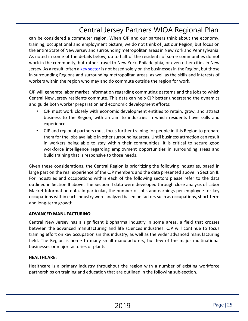can be considered a commuter region. When CJP and our partners think about the economy, training, occupational and employment picture, we do not think of just our Region, but focus on the entire State of New Jersey and surrounding metropolitan areas in New York and Pennsylvania. As noted in some of the details below, up to half of the residents of some communities do not work in the community, but rather travel to New York, Philadelphia, or even other cities in New Jersey. As a result, often a key sector is not based solely on the businesses in the Region, but those in surrounding Regions and surrounding metropolitan areas, as well as the skills and interests of workers within the region who may and do commute outside the region for work.

CJP will generate labor market information regarding commuting patterns and the jobs to which Central New Jersey residents commute. This data can help CJP better understand the dynamics and guide both worker preparation and economic development efforts:

- CJP must work closely with economic development entities to retain, grow, and attract business to the Region, with an aim to industries in which residents have skills and experience.
- CJP and regional partners must focus further training for people in this Region to prepare them for the jobs available in other surrounding areas. Until business attraction can result in workers being able to stay within their communities, it is critical to secure good workforce intelligence regarding employment opportunities in surrounding areas and build training that is responsive to those needs.

Given these considerations, the Central Region is prioritizing the following industries, based in large part on the real experience of the CJP members and the data presented above in Section II. For industries and occupations within each of the following sectors please refer to the data outlined in Section II above. The Section II data were developed through close analysis of Labor Market Information data. In particular, the number of jobs and earnings per employee for key occupations within each industry were analyzed based on factors such as occupations, short-term and long-term growth.

### **ADVANCED MANUFACTURING:**

Central New Jersey has a significant Biopharma industry in some areas, a field that crosses between the advanced manufacturing and life sciences industries. CJP will continue to focus training effort on key occupation sin this industry, as well as the wider advanced manufacturing field. The Region is home to many small manufacturers, but few of the major multinational businesses or major factories or plants.

### **HEALTHCARE:**

Healthcare is a primary industry throughout the region with a number of existing workforce partnerships on training and education that are outlined in the following sub-section.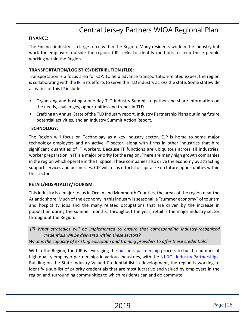#### **FINANCE:**

The Finance industry is a large force within the Region. Many residents work in the industry but work for employers outside the region. CJP seeks to identify methods to keep these people working within the Region.

#### **TRANSPORTATION/LOGISTICS/DISTRIBUTION (TLD):**

Transportation is a focus area for CJP. To help advance transportation-related issues, the region is collaborating with the IP in its efforts to serve the TLD industry across the state. Some statewide activities of this IP include:

- Organizing and hosting a one-day TLD Industry Summit to gather and share information on the needs, challenges, opportunities and trends in TLD.
- Crafting an Annual State of the TLD Industry report, Industry Partnership Plans outlining future potential activities, and an Industry Summit Action Report.

#### **TECHNOLOGY:**

The Region will focus on Technology as a key industry sector. CJP is home to some major technology employers and an active IT sector, along with firms in other industries that hire significant quantities of IT workers. Because IT functions are ubiquitous across all industries, worker preparation in IT is a major priority for the region. There are many high growth companies in the region which operate in the IT space. These companies also drive the economy by attracting support services and businesses. CJP will focus efforts to capitalize on future opportunities within this sector.

#### **RETAIL/HOSPITALITY/TOURISM:**

This industry is a major focus in Ocean and Monmouth Counties, the areas of the region near the Atlantic shore. Much of the economy in this industry is seasonal, a "summer economy" of tourism and hospitality jobs and the many related occupations that are driven by the increase in population during the summer months. Throughout the year, retail is the major industry sector throughout the Region.

*(ii) What strategies will be implemented to ensure that corresponding industry-recognized credentials will be delivered within these sectors?* 

*What is the capacity of existing education and training providers to offer these credentials?* 

Within the Region, the CJP is leveraging the business partnership process to build a number of high quality employer partnerships in various industries, with the NJ DOL Industry Partnerships. Building on the State Industry Valued Credential list in development, the region is working to identify a sub-list of priority credentials that are most lucrative and valued by employers in the region and surrounding communities to which residents can and do commute.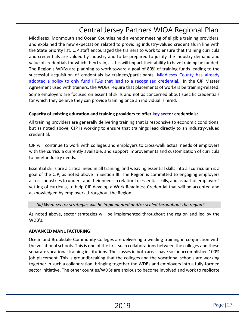Middlesex, Monmouth and Ocean Counties held a vendor meeting of eligible training providers, and explained the new expectation related to providing industry-valued credentials in line with the State priority list. CJP staff encouraged the trainers to work to ensure that training curricula and credentials are valued by industry and to be prepared to justify the industry demand and value of credentials for which they train, as this will impact their ability to have training be funded. The Region's WDBs are planning to work toward a goal of 80% of training funds leading to the successful acquisition of credentials by trainees/participants. Middlesex County has already adopted a policy to only fund I.T.As that lead to a recognized credential. In the CJP Master Agreement used with trainers, the WDBs require that placements of workers be training-related. Some employers are focused on essential skills and not as concerned about specific credentials for which they believe they can provide training once an individual is hired.

### **Capacity of existing education and training providers to offer key sector credentials:**

All training providers are generally delivering training that is responsive to economic conditions, but as noted above, CJP is working to ensure that trainings lead directly to an industry-valued credential.

CJP will continue to work with colleges and employers to cross-walk actual needs of employers with the curricula currently available, and support improvements and customization of curricula to meet industry needs.

Essential skills are a critical need in all training, and weaving essential skills into all curriculum is a goal of the CJP, as noted above in Section III. The Region is committed to engaging employers across industries to understand their needs in relation to essential skills, and as part of employers' vetting of curricula, to help CJP develop a Work Readiness Credential that will be accepted and acknowledged by employers throughout the Region.

### *(iii) What sector strategies will be implemented and/or scaled throughout the region?*

As noted above, sector strategies will be implemented throughout the region and led by the WDB's.

### **ADVANCED MANUFACTURING:**

Ocean and Brookdale Community Colleges are delivering a welding training in conjunction with the vocational schools. This is one of the first such collaborations between the colleges and these separate vocational training institutions. The classes in both areas have so far accomplished 100% job placement. This is groundbreaking that the colleges and the vocational schools are working together in such a collaboration, bringing together the WDBs and employers into a fully-formed sector initiative. The other counties/WDBs are anxious to become involved and work to replicate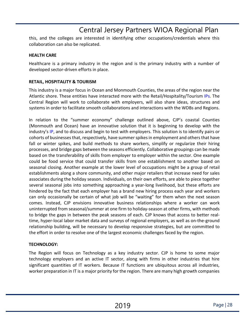this, and the colleges are interested in identifying other occupations/credentials where this collaboration can also be replicated.

#### **HEALTH CARE**

Healthcare is a primary industry in the region and is the primary industry with a number of developed sector-driven efforts in place.

### **RETAIL, HOSPITALITY & TOURISM**

This industry is a major focus in Ocean and Monmouth Counties, the areas of the region near the Atlantic shore. These entities have interacted more with the Retail/Hospitality/Tourism IPs. The Central Region will work to collaborate with employers, will also share ideas, structures and systems in order to facilitate smooth collaborations and interactions with the WDBs and Regions.

In relation to the "summer economy" challenge outlined above, CJP's coastal Counties (Monmouth and Ocean) have an innovative solution that it is beginning to develop with the industry's IP, and to discuss and begin to test with employers. This solution is to identify pairs or cohorts of businesses that, respectively, have summer spikes in employment and others that have fall or winter spikes, and build methods to share workers, simplify or regularize their hiring processes, and bridge gaps between the seasons efficiently. Collaborative groupings can be made based on the transferability of skills from employer to employer within the sector. One example could be food service that could transfer skills from one establishment to another based on seasonal closing. Another example at the lower level of occupations might be a group of retail establishments along a shore community, and other major retailers that increase need for sales associates during the holiday season. Individuals, on their own efforts, are able to piece together several seasonal jobs into something approaching a year-long livelihood, but these efforts are hindered by the fact that each employer has a brand new hiring process each year and workers can only occasionally be certain of what job will be "waiting" for them when the next season comes. Instead, CJP envisions innovative business relationships where a worker can work uninterrupted from seasonal/summer at one firm to holiday-season at other firms, with methods to bridge the gaps in between the peak seasons of each. CJP knows that access to better realtime, hyper-local labor market data and surveys of regional employers, as well as on-the-ground relationship building, will be necessary to develop responsive strategies, but are committed to the effort in order to resolve one of the largest economic challenges faced by the region.

### **TECHNOLOGY:**

The Region will focus on Technology as a key industry sector. CJP is home to some major technology employers and an active IT sector, along with firms in other industries that hire significant quantities of IT workers. Because IT functions are ubiquitous across all industries, worker preparation in IT is a major priority for the region. There are many high growth companies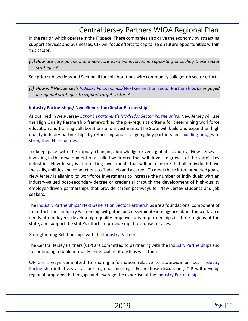in the region which operate in the IT space. These companies also drive the economy by attracting support services and businesses. CJP will focus efforts to capitalize on future opportunities within this sector.

*(iv) How are core partners and non-core partners involved in supporting or scaling these sector strategies?* 

See prior sub-sections and Section III for collaborations with community colleges on sector efforts.

*(v) How will New Jersey's Industry Partnerships/* Next Generation Sector Partnerships *be engaged in regional strategies to support target sectors?* 

### **Industry Partnerships/ Next Generation Sector Partnerships:**

As outlined in *New* Jersey *Labor Department's Model for Sector Partnerships*, New Jersey will use the High Quality Partnership framework as the pre-requisite criteria for determining workforce education and training collaborations and investments. The State will build and expand on high quality industry partnerships by refocusing and re-aligning key partners and building bridges to strengthen NJ industries.

To keep pace with the rapidly changing, knowledge-driven, global economy, New Jersey is investing in the development of a skilled workforce that will drive the growth of the state's key industries. New Jersey is also making investments that will help ensure that all individuals have the skills, abilities and connections to find a job and a career. To meet these interconnected goals, New Jersey is aligning its workforce investments to increase the number of individuals with an industry-valued post-secondary degree or credential through the development of high-quality employer-driven partnerships that provide career pathways for New Jersey students and job seekers.

The Industry Partnerships/ Next Generation Sector Partnerships are a foundational component of this effort. Each Industry Partnership will gather and disseminate intelligence about the workforce needs of employers, develop high quality employer-driven partnerships in three regions of the state, and support the state's efforts to provide rapid response services.

Strengthening Relationships with the Industry Partners

The Central Jersey Partners (CJP) are committed to partnering with the Industry Partnerships and to continuing to build mutually beneficial relationships with them.

CJP are always committed to sharing information relative to statewide or local Industry Partnership initiatives at all our regional meetings. From those discussions, CJP will develop regional programs that engage and leverage the expertise of the Industry Partnerships.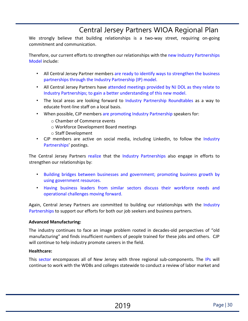We strongly believe that building relationships is a two-way street, requiring on-going commitment and communication.

Therefore, our current efforts to strengthen our relationships with the new Industry Partnerships Model include:

- All Central Jersey Partner members are ready to identify ways to strengthen the business partnerships through the Industry Partnership (IP) model.
- All Central Jersey Partners have attended meetings provided by NJ DOL as they relate to Industry Partnerships; to gain a better understanding of this new model.
- The local areas are looking forward to Industry Partnership Roundtables as a way to educate front-line staff on a local basis.
- When possible, CJP members are promoting Industry Partnership speakers for:
	- o Chamber of Commerce events
	- o Workforce Development Board meetings
	- o Staff Development
- CJP members are active on social media, including LinkedIn, to follow the Industry Partnerships' postings.

The Central Jersey Partners realize that the Industry Partnerships also engage in efforts to strengthen our relationships by:

- Building bridges between businesses and government; promoting business growth by using government resources.
- Having business leaders from similar sectors discuss their workforce needs and operational challenges moving forward.

Again, Central Jersey Partners are committed to building our relationships with the Industry Partnerships to support our efforts for both our job seekers and business partners.

### **Advanced Manufacturing:**

The industry continues to face an image problem rooted in decades-old perspectives of "old manufacturing" and finds insufficient numbers of people trained for these jobs and others. CJP will continue to help industry promote careers in the field.

### **Healthcare:**

This sector encompasses all of New Jersey with three regional sub-components. The IPs will continue to work with the WDBs and colleges statewide to conduct a review of labor market and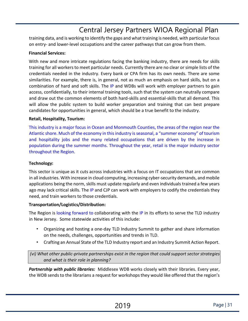training data, and is working to identify the gaps and what training is needed, with particular focus on entry- and lower-level occupations and the career pathways that can grow from them.

#### **Financial Services:**

With new and more intricate regulations facing the banking industry, there are needs for skills training for all workers to meet particular needs. Currently there are no clear or simple lists of the credentials needed in the industry. Every bank or CPA firm has its own needs. There are some similarities. For example, there is, in general, not as much an emphasis on hard skills, but on a combination of hard and soft skills. The IP and WDBs will work with employer partners to gain access, confidentially, to their internal training tools, such that the system can neutrally compare and draw out the common elements of both hard-skills and essential-skills that all demand. This will allow the public system to build worker preparation and training that can best prepare candidates for opportunities in general, which should be a true benefit to the industry.

#### **Retail, Hospitality, Tourism:**

This industry is a major focus in Ocean and Monmouth Counties, the areas of the region near the Atlantic shore. Much of the economy in this industry is seasonal, a "summer economy" of tourism and hospitality jobs and the many related occupations that are driven by the increase in population during the summer months. Throughout the year, retail is the major industry sector throughout the Region.

#### **Technology:**

This sector is unique as it cuts across industries with a focus on IT occupations that are common in all industries. With increase in cloud computing, increasing cyber-security demands, and mobile applications being the norm, skills must update regularly and even individuals trained a few years ago may lack critical skills. The IP and CJP can work with employers to codify the credentials they need, and train workers to those credentials.

#### **Transportation/Logistics/Distribution:**

The Region is looking forward to collaborating with the IP in its efforts to serve the TLD industry in New Jersey. Some statewide activities of this include:

- Organizing and hosting a one-day TLD Industry Summit to gather and share information on the needs, challenges, opportunities and trends in TLD.
- Crafting an Annual State of the TLD Industry report and an Industry Summit Action Report.

*(vi) What other public-private partnerships exist in the region that could support sector strategies and what is their role in planning?* 

*Partnership with public libraries:* Middlesex WDB works closely with their libraries. Every year, the WDB sends to the librarians a request for workshops they would like offered that the region's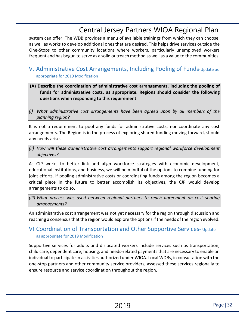system can offer. The WDB provides a menu of available trainings from which they can choose, as well as works to develop additional ones that are desired. This helps drive services outside the One-Stops to other community locations where workers, particularly unemployed workers frequent and has begun to serve as a solid outreach method as well as a value to the communities.

### <span id="page-31-0"></span>V. Administrative Cost Arrangements, Including Pooling of Funds-Update as appropriate for 2019 Modification

- **(A) Describe the coordination of administrative cost arrangements, including the pooling of funds for administrative costs, as appropriate. Regions should consider the following questions when responding to this requirement**
- *(i) What administrative cost arrangements have been agreed upon by all members of the planning region?*

It is not a requirement to pool any funds for administrative costs, nor coordinate any cost arrangements. The Region is in the process of exploring shared funding moving forward, should any needs arise.

*(ii) How will these administrative cost arrangements support regional workforce development objectives?* 

As CJP works to better link and align workforce strategies with economic development, educational institutions, and business, we will be mindful of the options to combine funding for joint efforts. If pooling administrative costs or coordinating funds among the region becomes a critical piece in the future to better accomplish its objectives, the CJP would develop arrangements to do so.

*(iii) What process was used between regional partners to reach agreement on cost sharing arrangements?* 

An administrative cost arrangement was not yet necessary for the region through discussion and reaching a consensus that the region would explore the options if the needs of the region evolved.

### <span id="page-31-1"></span>VI.Coordination of Transportation and Other Supportive Services- Update as appropriate for 2019 Modification

Supportive services for adults and dislocated workers include services such as transportation, child care, dependent care, housing, and needs-related payments that are necessary to enable an individual to participate in activities authorized under WIOA. Local WDBs, in consultation with the one-stop partners and other community service providers, assessed these services regionally to ensure resource and service coordination throughout the region.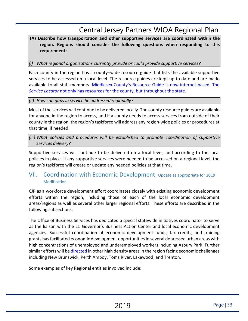### **(A) Describe how transportation and other supportive services are coordinated within the region. Regions should consider the following questions when responding to this requirement:**

### *(i) What regional organizations currently provide or could provide supportive services?*

Each county in the region has a county–wide resource guide that lists the available supportive services to be accessed on a local level. The resource guides are kept up to date and are made available to all staff members. Middlesex County's Resource Guide is now internet-based. The *Service Locator* not only has resources for the county, but throughout the state.

#### *(ii) How can gaps in service be addressed regionally?*

Most of the services will continue to be delivered locally. The county resource guides are available for anyone in the region to access, and if a county needs to access services from outside of their county in the region, the region's taskforce will address any region-wide policies or procedures at that time, if needed.

*(iii) What policies and procedures will be established to promote coordination of supportive services delivery?* 

Supportive services will continue to be delivered on a local level, and according to the local policies in place. If any supportive services were needed to be accessed on a regional level, the region's taskforce will create or update any needed policies at that time.

### <span id="page-32-0"></span>VII. Coordination with Economic Development- Update as appropriate for 2019 Modification

CJP as a workforce development effort coordinates closely with existing economic development efforts within the region, including those of each of the local economic development areas/regions as well as several other larger regional efforts. These efforts are described in the following subsections.

The Office of Business Services has dedicated a special statewide initiatives coordinator to serve as the liaison with the Lt. Governor's Business Action Center and local economic development agencies. Successful coordination of economic development funds, tax credits, and training grants has facilitated economic development opportunities in several depressed urban areas with high concentrations of unemployed and underemployed workers including Asbury Park. Further similar efforts will be directed in other high density areas in the region facing economic challenges including New Brunswick, Perth Amboy, Toms River, Lakewood, and Trenton.

Some examples of key Regional entities involved include: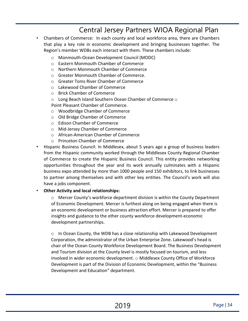- Chambers of Commerce: In each county and local workforce area, there are Chambers that play a key role in economic development and bringing businesses together. The Region's member WDBs each interact with them. These chambers include:
	- o Monmouth-Ocean Development Council (MODC)
	- o Eastern Monmouth Chamber of Commerce
	- o Northern Monmouth Chamber of Commerce
	- o Greater Monmouth Chamber of Commerce.
	- o Greater Toms River Chamber of Commerce
	- o Lakewood Chamber of Commerce
	- o Brick Chamber of Commerce
	- $\circ$  Long Beach Island Southern Ocean Chamber of Commerce  $\circ$
	- Point Pleasant Chamber of Commerce.
	- o Woodbridge Chamber of Commerce
	- o Old Bridge Chamber of Commerce
	- o Edison Chamber of Commerce
	- o Mid-Jersey Chamber of Commerce
	- o African-American Chamber of Commerce
	- o Princeton Chamber of Commerce
- Hispanic Business Council: In Middlesex, about 5 years ago a group of business leaders from the Hispanic community worked through the Middlesex County Regional Chamber of Commerce to create the Hispanic Business Council. This entity provides networking opportunities throughout the year and its work annually culminates with a Hispanic business expo attended by more than 1000 people and 150 exhibitors, to link businesses to partner among themselves and with other key entities. The Council's work will also have a jobs component.

#### • **Other Activity and local relationships:**

 $\circ$  Mercer County's workforce department division is within the County Department of Economic Development. Mercer is furthest along on being engaged when there is an economic development or business attraction effort. Mercer is prepared to offer insights and guidance to the other county workforce development-economic development partnerships.

 $\circ$  In Ocean County, the WDB has a close relationship with Lakewood Development Corporation, the administrator of the Urban Enterprise Zone. Lakewood's head is chair of the Ocean County Workforce Development Board. The Business Development and Tourism division at the County level is mostly focused on tourism, and less involved in wider economic development. o Middlesex County Office of Workforce Development is part of the Division of Economic Development, within the "Business Development and Education" department.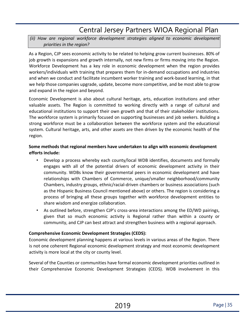### *(ii) How are regional workforce development strategies aligned to economic development priorities in the region?*

As a Region, CJP sees economic activity to be related to helping grow current businesses. 80% of job growth is expansions and growth internally, not new firms or firms moving into the Region. Workforce Development has a key role in economic development when the region provides workers/individuals with training that prepares them for in-demand occupations and industries and when we conduct and facilitate incumbent worker training and work-based learning, in that we help those companies upgrade, update, become more competitive, and be most able to grow and expand in the region and beyond.

Economic Development is also about cultural heritage, arts, education institutions and other valuable assets. The Region is committed to working directly with a range of cultural and educational institutions to support their own growth and that of their stakeholder institutions. The workforce system is primarily focused on supporting businesses and job seekers. Building a strong workforce must be a collaboration between the workforce system and the educational system. Cultural heritage, arts, and other assets are then driven by the economic health of the region.

### **Some methods that regional members have undertaken to align with economic development efforts include:**

- Develop a process whereby each county/local WDB identifies, documents and formally engages with all of the potential drivers of economic development activity in their community. WDBs know their governmental peers in economic development and have relationships with Chambers of Commerce, unique/smaller neighborhood/community Chambers, industry groups, ethnic/racial-driven chambers or business associations (such as the Hispanic Business Council mentioned above) or others. The region is considering a process of bringing all these groups together with workforce development entities to share wisdom and energize collaboration.
- As outlined before, strengthen CJP's cross-area interactions among the ED/WD pairings, given that so much economic activity is Regional rather than within a county or community, and CJP can best attract and strengthen business with a regional approach.

### **Comprehensive Economic Development Strategies (CEDS):**

Economic development planning happens at various levels in various areas of the Region. There is not one coherent Regional economic development strategy and most economic development activity is more local at the city or county level.

Several of the Counties or communities have formal economic development priorities outlined in their Comprehensive Economic Development Strategies (CEDS). WDB involvement in this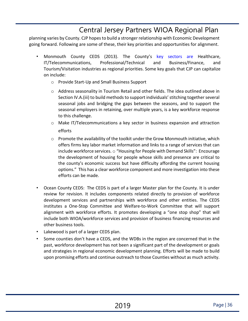planning varies by County. CJP hopes to build a stronger relationship with Economic Development going forward. Following are some of these, their key priorities and opportunities for alignment.

- Monmouth County CEDS (2013). The County's key sectors are Healthcare, IT/Telecommunications, Professional/Technical and Business/Finance, and Tourism/Visitation industries as regional priorities. Some key goals that CJP can capitalize on include:
	- o Provide Start-Up and Small Business Support
	- o Address seasonality in Tourism Retail and other fields. The idea outlined above in Section IV.A.(iii) to build methods to support individuals' stitching together several seasonal jobs and bridging the gaps between the seasons, and to support the seasonal employers in retaining, over multiple years, is a key workforce response to this challenge.
	- $\circ$  Make IT/Telecommunications a key sector in business expansion and attraction efforts
	- $\circ$  Promote the availability of the toolkit under the Grow Monmouth initiative, which offers firms key labor market information and links to a range of services that can include workforce services. o "Housing for People with Demand Skills": Encourage the development of housing for people whose skills and presence are critical to the county's economic success but have difficulty affording the current housing options." This has a clear workforce component and more investigation into these efforts can be made.
- Ocean County CEDS: The CEDS is part of a larger Master plan for the County. It is under review for revision. It includes components related directly to provision of workforce development services and partnerships with workforce and other entities. The CEDS institutes a One-Stop Committee and Welfare-to-Work Committee that will support alignment with workforce efforts. It promotes developing a "one stop shop" that will include both WIOA/workforce services and provision of business financing resources and other business tools.
- Lakewood is part of a larger CEDS plan.
- Some counties don't have a CEDS, and the WDBs in the region are concerned that in the past, workforce development has not been a significant part of the development or goals and strategies in regional economic development planning. Efforts will be made to build upon promising efforts and continue outreach to those Counties without as much activity.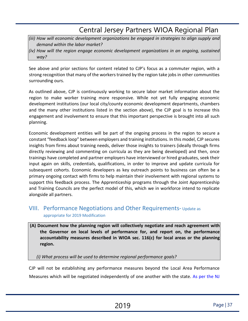- *(iii) How will economic development organizations be engaged in strategies to align supply and demand within the labor market?*
- *(iv) How will the region engage economic development organizations in an ongoing, sustained way?*

See above and prior sections for content related to CJP's focus as a commuter region, with a strong recognition that many of the workers trained by the region take jobs in other communities surrounding ours.

As outlined above, CJP is continuously working to secure labor market information about the region to make worker training more responsive. While not yet fully engaging economic development institutions (our local city/county economic development departments, chambers and the many other institutions listed in the section above), the CJP goal is to increase this engagement and involvement to ensure that this important perspective is brought into all such planning.

Economic development entities will be part of the ongoing process in the region to secure a constant "feedback loop" between employers and training institutions. In this model, CJP secures insights from firms about training needs, deliver those insights to trainers (ideally through firms directly reviewing and commenting on curricula as they are being developed) and then, once trainings have completed and partner employers have interviewed or hired graduates, seek their input again on skills, credentials, qualifications, in order to improve and update curricula for subsequent cohorts. Economic developers as key outreach points to business can often be a primary ongoing contact with firms to help maintain their involvement with regional systems to support this feedback process. The Apprenticeship programs through the Joint Apprenticeship and Training Councils are the perfect model of this, which we in workforce intend to replicate alongside all partners.

### <span id="page-36-0"></span>VIII. Performance Negotiations and Other Requirements- Update as appropriate for 2019 Modification

**(A) Document how the planning region will collectively negotiate and reach agreement with the Governor on local levels of performance for, and report on, the performance accountability measures described in WIOA sec. 116(c) for local areas or the planning region.** 

*(i) What process will be used to determine regional performance goals?* 

CJP will not be establishing any performance measures beyond the Local Area Performance Measures which will be negotiated independently of one another with the state. As per the NJ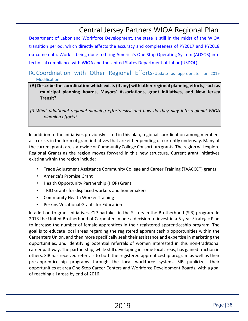Department of Labor and Workforce Development, the state is still in the midst of the WIOA transition period, which directly affects the accuracy and completeness of PY2017 and PY2018 outcome data. Work is being done to bring America's One Stop Operating System (AOSOS) into technical compliance with WIOA and the United States Department of Labor (USDOL).

### <span id="page-37-0"></span>IX.Coordination with Other Regional Efforts-Update as appropriate for 2019 Modification

- **(A) Describe the coordination which exists (if any) with other regional planning efforts, such as municipal planning boards, Mayors' Associations, grant initiatives, and New Jersey Transit?**
- *(i) What additional regional planning efforts exist and how do they play into regional WIOA planning efforts?*

In addition to the initiatives previously listed in this plan, regional coordination among members also exists in the form of grant initiatives that are either pending or currently underway. Many of the current grants are statewide or Community College Consortium grants. The region will explore Regional Grants as the region moves forward in this new structure. Current grant initiatives existing within the region include:

- Trade Adjustment Assistance Community College and Career Training (TAACCCT) grants
- America's Promise Grant
- Health Opportunity Partnership (HOP) Grant
- TRIO Grants for displaced workers and homemakers
- Community Health Worker Training
- Perkins Vocational Grants for Education

In addition to grant initiatives, CJP partakes in the Sisters in the Brotherhood (SIB) program. In 2013 the United Brotherhood of Carpenters made a decision to invest in a 5-year Strategic Plan to increase the number of female apprentices in their registered apprenticeship program. The goal is to educate local areas regarding the registered apprenticeship opportunities within the Carpenters Union, and then more specifically seek their assistance and expertise in marketing the opportunities, and identifying potential referrals of women interested in this non-traditional career pathway. The partnership, while still developing in some local areas, has gained traction in others. SIB has received referrals to both the registered apprenticeship program as well as their pre-apprenticeship programs through the local workforce system. SIB publicizes their opportunities at area One-Stop Career Centers and Workforce Development Boards, with a goal of reaching all areas by end of 2016.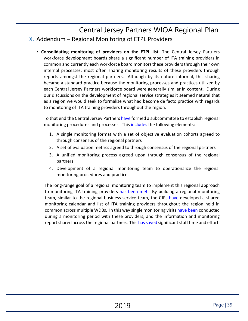### <span id="page-38-0"></span>Central Jersey Partners WIOA Regional Plan X. Addendum – Regional Monitoring of ETPL Providers

• **Consolidating monitoring of providers on the ETPL list**. The Central Jersey Partners workforce development boards share a significant number of ITA training providers in common and currently each workforce board monitors these providers through their own internal processes; most often sharing monitoring results of these providers through reports amongst the regional partners. Although by its nature informal, this sharing became a standard practice because the monitoring processes and practices utilized by each Central Jersey Partners workforce board were generally similar in content. During our discussions on the development of regional service strategies it seemed natural that as a region we would seek to formalize what had become de facto practice with regards to monitoring of ITA training providers throughout the region.

To that end the Central Jersey Partners have formed a subcommittee to establish regional monitoring procedures and processes. This includes the following elements:

- 1. A single monitoring format with a set of objective evaluation cohorts agreed to through consensus of the regional partners
- 2. A set of evaluation metrics agreed to through consensus of the regional partners
- 3. A unified monitoring process agreed upon through consensus of the regional partners
- 4. Development of a regional monitoring team to operationalize the regional monitoring procedures and practices

<span id="page-38-1"></span>The long-range goal of a regional monitoring team to implement this regional approach to monitoring ITA training providers has been met. By building a regional monitoring team, similar to the regional business service team, the CJPs have developed a shared monitoring calendar and list of ITA training providers throughout the region held in common across multiple WDBs. In this way single monitoring visits have been conducted during a monitoring period with these providers, and the information and monitoring report shared across the regional partners. This has saved significant staff time and effort.